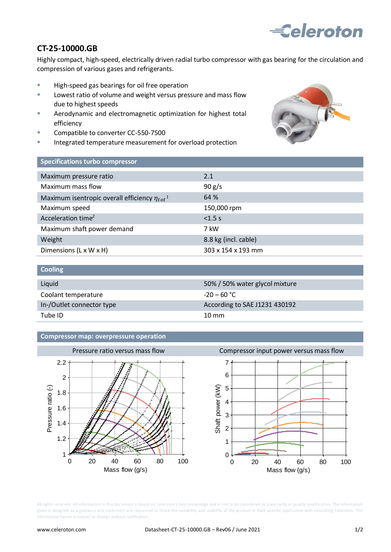# **Eeleroton**

# **CT-25-10000.GB**

Highly compact, high-speed, electrically driven radial turbo compressor with gas bearing for the circulation and compression of various gases and refrigerants.

- **High-speed gas bearings for oil free operation**
- **Lowest ratio of volume and weight versus pressure and mass flow** due to highest speeds
- **EXEDENT** Aerodynamic and electromagnetic optimization for highest total efficiency
- Compatible to converter CC-550-7500
- Integrated temperature measurement for overload protection



## **Specifications turbo compressor**

| Maximum pressure ratio                                          | 2.1                  |
|-----------------------------------------------------------------|----------------------|
| Maximum mass flow                                               | 90 g/s               |
| Maximum isentropic overall efficiency $\eta_{tot}$ <sup>1</sup> | 64 %                 |
| Maximum speed                                                   | 150,000 rpm          |
| Acceleration time <sup>2</sup>                                  | < 1.5 s              |
| Maximum shaft power demand                                      | 7 kW                 |
| Weight                                                          | 8.8 kg (incl. cable) |
| Dimensions (L x W x H)                                          | 303 x 154 x 193 mm   |

| <b>Cooling</b>            |                                |
|---------------------------|--------------------------------|
| Liquid                    | 50% / 50% water glycol mixture |
| Coolant temperature       | $-20 - 60$ °C                  |
| In-/Outlet connector type | According to SAE J1231 430192  |
| Tube ID                   | $10 \text{ mm}$                |

#### **Compressor map: overpressure operation**



All rights reserved. All information in this document is based on Celeroton's best knowledge and is not to be considered as a warranty or quality specification. The information given is designed as a guidance and customers are requested to check the suitability and usability of the product in their specific application with consulting Celeroton. The information herein is subject to change without notification.